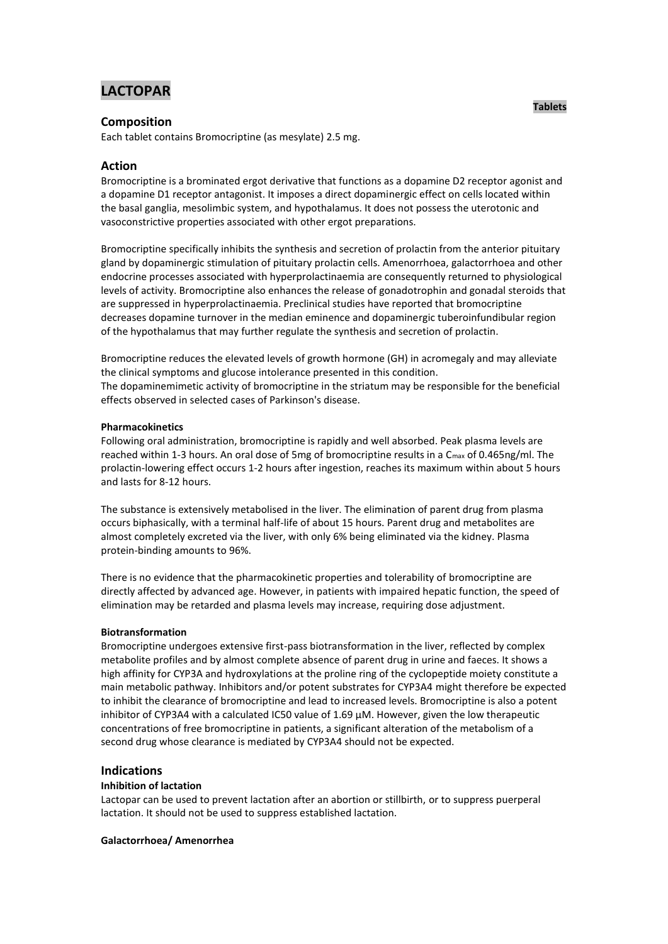# **LACTOPAR**

# **Composition**

Each tablet contains Bromocriptine (as mesylate) 2.5 mg.

# **Action**

Bromocriptine is a brominated ergot derivative that functions as a dopamine D2 receptor agonist and a dopamine D1 receptor antagonist. It imposes a direct dopaminergic effect on cells located within the basal ganglia, mesolimbic system, and hypothalamus. It does not possess the uterotonic and vasoconstrictive properties associated with other ergot preparations.

Bromocriptine specifically inhibits the synthesis and secretion of prolactin from the anterior pituitary gland by dopaminergic stimulation of pituitary prolactin cells. Amenorrhoea, galactorrhoea and other endocrine processes associated with hyperprolactinaemia are consequently returned to physiological levels of activity. Bromocriptine also enhances the release of gonadotrophin and gonadal steroids that are suppressed in hyperprolactinaemia. Preclinical studies have reported that bromocriptine decreases dopamine turnover in the median eminence and dopaminergic tuberoinfundibular region of the hypothalamus that may further regulate the synthesis and secretion of prolactin.

Bromocriptine reduces the elevated levels of growth hormone (GH) in acromegaly and may alleviate the clinical symptoms and glucose intolerance presented in this condition. The dopaminemimetic activity of bromocriptine in the striatum may be responsible for the beneficial effects observed in selected cases of Parkinson's disease.

## **Pharmacokinetics**

Following oral administration, bromocriptine is rapidly and well absorbed. Peak plasma levels are reached within 1-3 hours. An oral dose of 5mg of bromocriptine results in a C<sub>max</sub> of 0.465ng/ml. The prolactin-lowering effect occurs 1-2 hours after ingestion, reaches its maximum within about 5 hours and lasts for 8-12 hours.

The substance is extensively metabolised in the liver. The elimination of parent drug from plasma occurs biphasically, with a terminal half-life of about 15 hours. Parent drug and metabolites are almost completely excreted via the liver, with only 6% being eliminated via the kidney. Plasma protein-binding amounts to 96%.

There is no evidence that the pharmacokinetic properties and tolerability of bromocriptine are directly affected by advanced age. However, in patients with impaired hepatic function, the speed of elimination may be retarded and plasma levels may increase, requiring dose adjustment.

# **Biotransformation**

Bromocriptine undergoes extensive first-pass biotransformation in the liver, reflected by complex metabolite profiles and by almost complete absence of parent drug in urine and faeces. It shows a high affinity for CYP3A and hydroxylations at the proline ring of the cyclopeptide moiety constitute a main metabolic pathway. Inhibitors and/or potent substrates for CYP3A4 might therefore be expected to inhibit the clearance of bromocriptine and lead to increased levels. Bromocriptine is also a potent inhibitor of CYP3A4 with a calculated IC50 value of 1.69 µM. However, given the low therapeutic concentrations of free bromocriptine in patients, a significant alteration of the metabolism of a second drug whose clearance is mediated by CYP3A4 should not be expected.

# **Indications**

#### **Inhibition of lactation**

Lactopar can be used to prevent lactation after an abortion or stillbirth, or to suppress puerperal lactation. It should not be used to suppress established lactation.

#### **Galactorrhoea/ Amenorrhea**

**Tablets**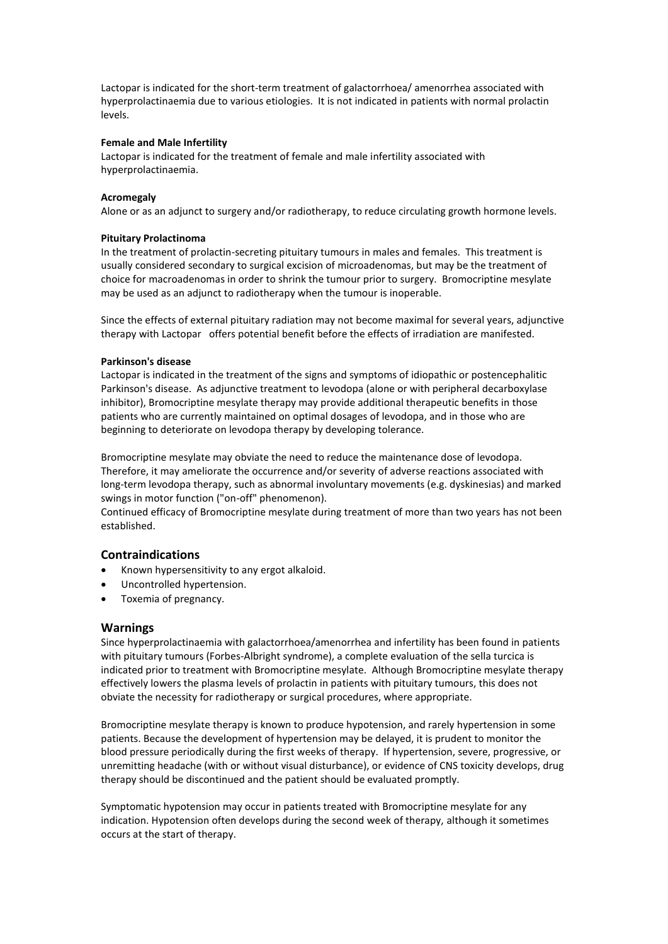Lactopar is indicated for the short-term treatment of galactorrhoea/ amenorrhea associated with hyperprolactinaemia due to various etiologies. It is not indicated in patients with normal prolactin levels.

### **Female and Male Infertility**

Lactopar is indicated for the treatment of female and male infertility associated with hyperprolactinaemia.

## **Acromegaly**

Alone or as an adjunct to surgery and/or radiotherapy, to reduce circulating growth hormone levels.

## **Pituitary Prolactinoma**

In the treatment of prolactin-secreting pituitary tumours in males and females. This treatment is usually considered secondary to surgical excision of microadenomas, but may be the treatment of choice for macroadenomas in order to shrink the tumour prior to surgery. Bromocriptine mesylate may be used as an adjunct to radiotherapy when the tumour is inoperable.

Since the effects of external pituitary radiation may not become maximal for several years, adjunctive therapy with Lactopar offers potential benefit before the effects of irradiation are manifested.

## **Parkinson's disease**

Lactopar is indicated in the treatment of the signs and symptoms of idiopathic or postencephalitic Parkinson's disease. As adjunctive treatment to levodopa (alone or with peripheral decarboxylase inhibitor), Bromocriptine mesylate therapy may provide additional therapeutic benefits in those patients who are currently maintained on optimal dosages of levodopa, and in those who are beginning to deteriorate on levodopa therapy by developing tolerance.

Bromocriptine mesylate may obviate the need to reduce the maintenance dose of levodopa. Therefore, it may ameliorate the occurrence and/or severity of adverse reactions associated with long-term levodopa therapy, such as abnormal involuntary movements (e.g. dyskinesias) and marked swings in motor function ("on-off" phenomenon).

Continued efficacy of Bromocriptine mesylate during treatment of more than two years has not been established.

# **Contraindications**

- Known hypersensitivity to any ergot alkaloid.
- Uncontrolled hypertension.
- Toxemia of pregnancy.

# **Warnings**

Since hyperprolactinaemia with galactorrhoea/amenorrhea and infertility has been found in patients with pituitary tumours (Forbes-Albright syndrome), a complete evaluation of the sella turcica is indicated prior to treatment with Bromocriptine mesylate. Although Bromocriptine mesylate therapy effectively lowers the plasma levels of prolactin in patients with pituitary tumours, this does not obviate the necessity for radiotherapy or surgical procedures, where appropriate.

Bromocriptine mesylate therapy is known to produce hypotension, and rarely hypertension in some patients. Because the development of hypertension may be delayed, it is prudent to monitor the blood pressure periodically during the first weeks of therapy. If hypertension, severe, progressive, or unremitting headache (with or without visual disturbance), or evidence of CNS toxicity develops, drug therapy should be discontinued and the patient should be evaluated promptly.

Symptomatic hypotension may occur in patients treated with Bromocriptine mesylate for any indication. Hypotension often develops during the second week of therapy, although it sometimes occurs at the start of therapy.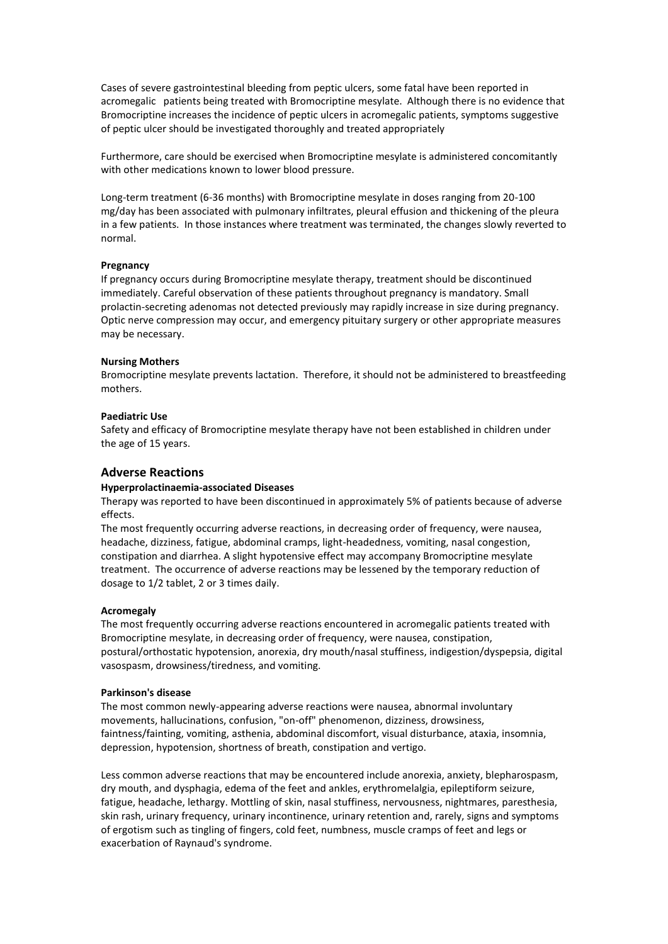Cases of severe gastrointestinal bleeding from peptic ulcers, some fatal have been reported in acromegalic patients being treated with Bromocriptine mesylate. Although there is no evidence that Bromocriptine increases the incidence of peptic ulcers in acromegalic patients, symptoms suggestive of peptic ulcer should be investigated thoroughly and treated appropriately

Furthermore, care should be exercised when Bromocriptine mesylate is administered concomitantly with other medications known to lower blood pressure.

Long-term treatment (6-36 months) with Bromocriptine mesylate in doses ranging from 20-100 mg/day has been associated with pulmonary infiltrates, pleural effusion and thickening of the pleura in a few patients. In those instances where treatment was terminated, the changes slowly reverted to normal.

#### **Pregnancy**

If pregnancy occurs during Bromocriptine mesylate therapy, treatment should be discontinued immediately. Careful observation of these patients throughout pregnancy is mandatory. Small prolactin-secreting adenomas not detected previously may rapidly increase in size during pregnancy. Optic nerve compression may occur, and emergency pituitary surgery or other appropriate measures may be necessary.

#### **Nursing Mothers**

Bromocriptine mesylate prevents lactation. Therefore, it should not be administered to breastfeeding mothers.

#### **Paediatric Use**

Safety and efficacy of Bromocriptine mesylate therapy have not been established in children under the age of 15 years.

# **Adverse Reactions**

#### **Hyperprolactinaemia-associated Diseases**

Therapy was reported to have been discontinued in approximately 5% of patients because of adverse effects.

The most frequently occurring adverse reactions, in decreasing order of frequency, were nausea, headache, dizziness, fatigue, abdominal cramps, light-headedness, vomiting, nasal congestion, constipation and diarrhea. A slight hypotensive effect may accompany Bromocriptine mesylate treatment. The occurrence of adverse reactions may be lessened by the temporary reduction of dosage to 1/2 tablet, 2 or 3 times daily.

#### **Acromegaly**

The most frequently occurring adverse reactions encountered in acromegalic patients treated with Bromocriptine mesylate, in decreasing order of frequency, were nausea, constipation, postural/orthostatic hypotension, anorexia, dry mouth/nasal stuffiness, indigestion/dyspepsia, digital vasospasm, drowsiness/tiredness, and vomiting.

## **Parkinson's disease**

The most common newly-appearing adverse reactions were nausea, abnormal involuntary movements, hallucinations, confusion, "on-off" phenomenon, dizziness, drowsiness, faintness/fainting, vomiting, asthenia, abdominal discomfort, visual disturbance, ataxia, insomnia, depression, hypotension, shortness of breath, constipation and vertigo.

Less common adverse reactions that may be encountered include anorexia, anxiety, blepharospasm, dry mouth, and dysphagia, edema of the feet and ankles, erythromelalgia, epileptiform seizure, fatigue, headache, lethargy. Mottling of skin, nasal stuffiness, nervousness, nightmares, paresthesia, skin rash, urinary frequency, urinary incontinence, urinary retention and, rarely, signs and symptoms of ergotism such as tingling of fingers, cold feet, numbness, muscle cramps of feet and legs or exacerbation of Raynaud's syndrome.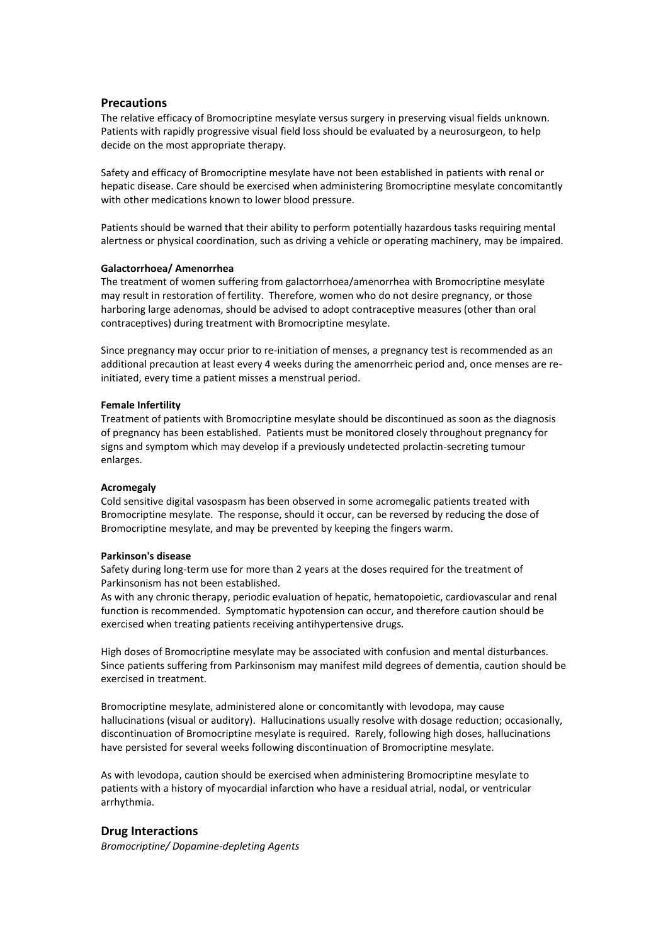## **Precautions**

The relative efficacy of Bromocriptine mesylate versus surgery in preserving visual fields unknown. Patients with rapidly progressive visual field loss should be evaluated by a neurosurgeon, to help decide on the most appropriate therapy.

Safety and efficacy of Bromocriptine mesylate have not been established in patients with renal or hepatic disease. Care should be exercised when administering Bromocriptine mesylate concomitantly with other medications known to lower blood pressure.

Patients should be warned that their ability to perform potentially hazardous tasks requiring mental alertness or physical coordination, such as driving a vehicle or operating machinery, may be impaired.

#### **Galactorrhoea/ Amenorrhea**

The treatment of women suffering from galactorrhoea/amenorrhea with Bromocriptine mesylate may result in restoration of fertility. Therefore, women who do not desire pregnancy, or those harboring large adenomas, should be advised to adopt contraceptive measures (other than oral contraceptives) during treatment with Bromocriptine mesylate.

Since pregnancy may occur prior to re-initiation of menses, a pregnancy test is recommended as an additional precaution at least every 4 weeks during the amenorrheic period and, once menses are reinitiated, every time a patient misses a menstrual period.

#### **Female Infertility**

Treatment of patients with Bromocriptine mesylate should be discontinued as soon as the diagnosis of pregnancy has been established. Patients must be monitored closely throughout pregnancy for signs and symptom which may develop if a previously undetected prolactin-secreting tumour enlarges.

#### **Acromegaly**

Cold sensitive digital vasospasm has been observed in some acromegalic patients treated with Bromocriptine mesylate. The response, should it occur, can be reversed by reducing the dose of Bromocriptine mesylate, and may be prevented by keeping the fingers warm.

#### **Parkinson's disease**

Safety during long-term use for more than 2 years at the doses required for the treatment of Parkinsonism has not been established.

As with any chronic therapy, periodic evaluation of hepatic, hematopoietic, cardiovascular and renal function is recommended. Symptomatic hypotension can occur, and therefore caution should be exercised when treating patients receiving antihypertensive drugs.

High doses of Bromocriptine mesylate may be associated with confusion and mental disturbances. Since patients suffering from Parkinsonism may manifest mild degrees of dementia, caution should be exercised in treatment.

Bromocriptine mesylate, administered alone or concomitantly with levodopa, may cause hallucinations (visual or auditory). Hallucinations usually resolve with dosage reduction; occasionally, discontinuation of Bromocriptine mesylate is required. Rarely, following high doses, hallucinations have persisted for several weeks following discontinuation of Bromocriptine mesylate.

As with levodopa, caution should be exercised when administering Bromocriptine mesylate to patients with a history of myocardial infarction who have a residual atrial, nodal, or ventricular arrhythmia.

# **Drug Interactions**

*Bromocriptine/ Dopamine-depleting Agents*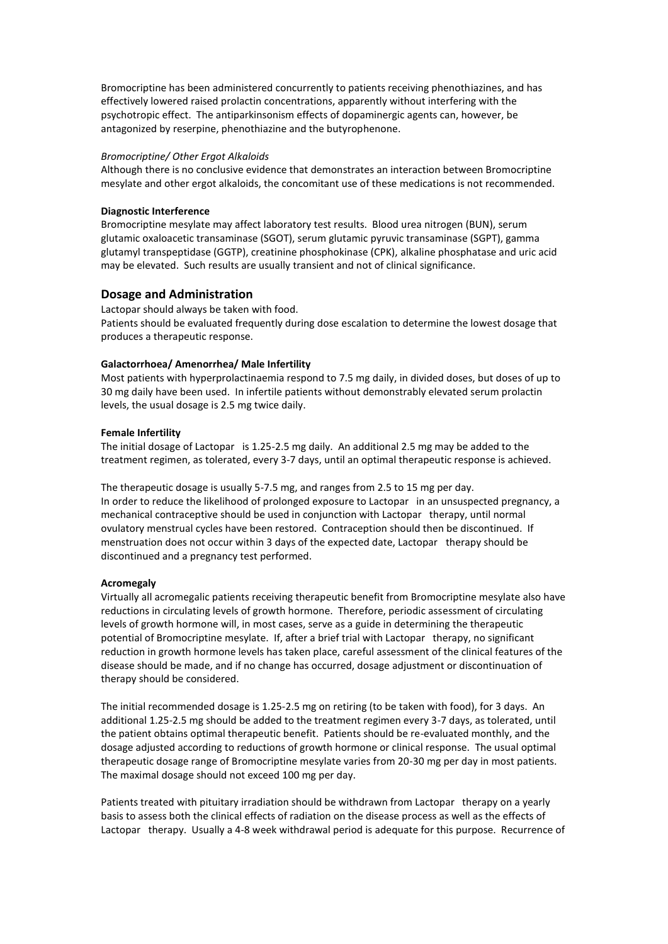Bromocriptine has been administered concurrently to patients receiving phenothiazines, and has effectively lowered raised prolactin concentrations, apparently without interfering with the psychotropic effect. The antiparkinsonism effects of dopaminergic agents can, however, be antagonized by reserpine, phenothiazine and the butyrophenone.

#### *Bromocriptine/ Other Ergot Alkaloids*

Although there is no conclusive evidence that demonstrates an interaction between Bromocriptine mesylate and other ergot alkaloids, the concomitant use of these medications is not recommended.

## **Diagnostic Interference**

Bromocriptine mesylate may affect laboratory test results. Blood urea nitrogen (BUN), serum glutamic oxaloacetic transaminase (SGOT), serum glutamic pyruvic transaminase (SGPT), gamma glutamyl transpeptidase (GGTP), creatinine phosphokinase (CPK), alkaline phosphatase and uric acid may be elevated. Such results are usually transient and not of clinical significance.

# **Dosage and Administration**

Lactopar should always be taken with food. Patients should be evaluated frequently during dose escalation to determine the lowest dosage that produces a therapeutic response.

# **Galactorrhoea/ Amenorrhea/ Male Infertility**

Most patients with hyperprolactinaemia respond to 7.5 mg daily, in divided doses, but doses of up to 30 mg daily have been used. In infertile patients without demonstrably elevated serum prolactin levels, the usual dosage is 2.5 mg twice daily.

## **Female Infertility**

The initial dosage of Lactopar is 1.25-2.5 mg daily. An additional 2.5 mg may be added to the treatment regimen, as tolerated, every 3-7 days, until an optimal therapeutic response is achieved.

The therapeutic dosage is usually 5-7.5 mg, and ranges from 2.5 to 15 mg per day. In order to reduce the likelihood of prolonged exposure to Lactopar in an unsuspected pregnancy, a mechanical contraceptive should be used in conjunction with Lactopar therapy, until normal ovulatory menstrual cycles have been restored. Contraception should then be discontinued. If menstruation does not occur within 3 days of the expected date, Lactopar therapy should be discontinued and a pregnancy test performed.

# **Acromegaly**

Virtually all acromegalic patients receiving therapeutic benefit from Bromocriptine mesylate also have reductions in circulating levels of growth hormone. Therefore, periodic assessment of circulating levels of growth hormone will, in most cases, serve as a guide in determining the therapeutic potential of Bromocriptine mesylate. If, after a brief trial with Lactopar therapy, no significant reduction in growth hormone levels has taken place, careful assessment of the clinical features of the disease should be made, and if no change has occurred, dosage adjustment or discontinuation of therapy should be considered.

The initial recommended dosage is 1.25-2.5 mg on retiring (to be taken with food), for 3 days. An additional 1.25-2.5 mg should be added to the treatment regimen every 3-7 days, as tolerated, until the patient obtains optimal therapeutic benefit. Patients should be re-evaluated monthly, and the dosage adjusted according to reductions of growth hormone or clinical response. The usual optimal therapeutic dosage range of Bromocriptine mesylate varies from 20-30 mg per day in most patients. The maximal dosage should not exceed 100 mg per day.

Patients treated with pituitary irradiation should be withdrawn from Lactopar therapy on a yearly basis to assess both the clinical effects of radiation on the disease process as well as the effects of Lactopar therapy. Usually a 4-8 week withdrawal period is adequate for this purpose. Recurrence of